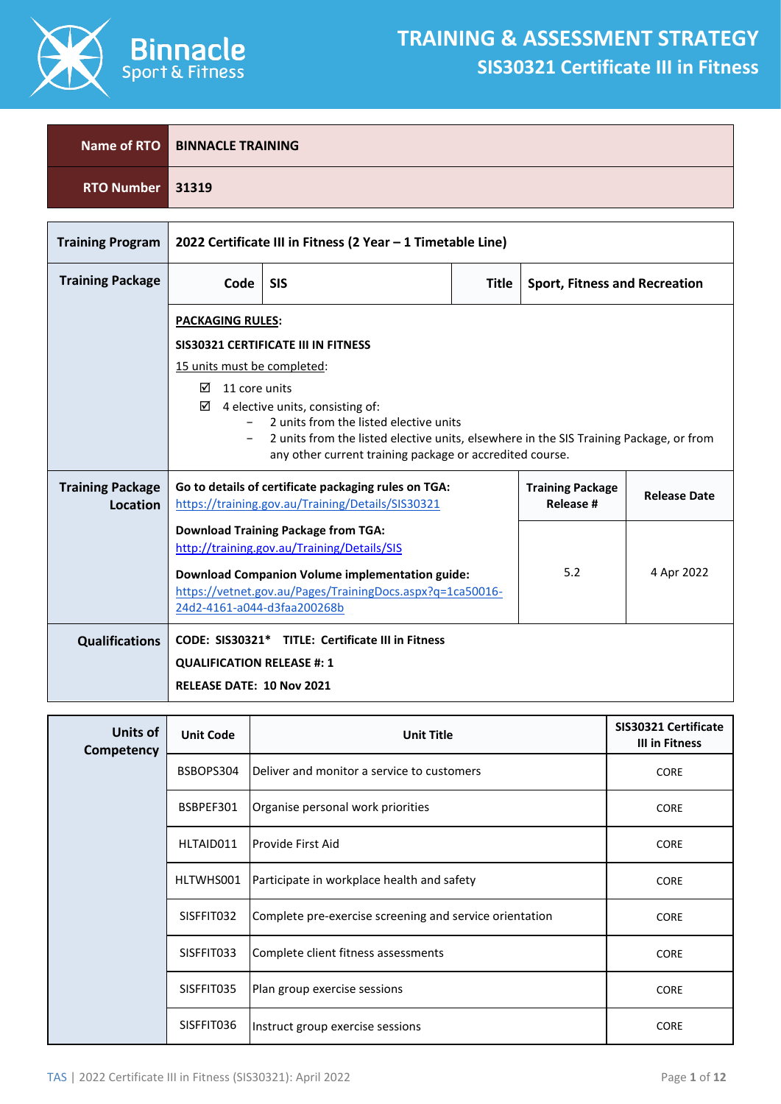

Г

٦

|                  | Name of RTO BINNACLE TRAINING |
|------------------|-------------------------------|
| RTO Number 31319 |                               |

| <b>Training Program</b>             | 2022 Certificate III in Fitness (2 Year - 1 Timetable Line)                                                                                                                     |                                                                                                                     |              |                                      |            |
|-------------------------------------|---------------------------------------------------------------------------------------------------------------------------------------------------------------------------------|---------------------------------------------------------------------------------------------------------------------|--------------|--------------------------------------|------------|
| <b>Training Package</b>             | Code                                                                                                                                                                            | <b>SIS</b>                                                                                                          | <b>Title</b> | <b>Sport, Fitness and Recreation</b> |            |
|                                     |                                                                                                                                                                                 | <b>PACKAGING RULES:</b>                                                                                             |              |                                      |            |
|                                     |                                                                                                                                                                                 | SIS30321 CERTIFICATE III IN FITNESS                                                                                 |              |                                      |            |
|                                     | 15 units must be completed:                                                                                                                                                     |                                                                                                                     |              |                                      |            |
|                                     | ☑                                                                                                                                                                               | ⊠<br>11 core units                                                                                                  |              |                                      |            |
|                                     | 4 elective units, consisting of:<br>2 units from the listed elective units                                                                                                      |                                                                                                                     |              |                                      |            |
|                                     | 2 units from the listed elective units, elsewhere in the SIS Training Package, or from<br>any other current training package or accredited course.                              |                                                                                                                     |              |                                      |            |
| <b>Training Package</b><br>Location | Go to details of certificate packaging rules on TGA:<br><b>Training Package</b><br><b>Release Date</b><br>https://training.gov.au/Training/Details/SIS30321<br><b>Release #</b> |                                                                                                                     |              |                                      |            |
|                                     | <b>Download Training Package from TGA:</b>                                                                                                                                      |                                                                                                                     |              |                                      |            |
|                                     | http://training.gov.au/Training/Details/SIS                                                                                                                                     |                                                                                                                     |              |                                      |            |
|                                     | 24d2-4161-a044-d3faa200268b                                                                                                                                                     | <b>Download Companion Volume implementation guide:</b><br>https://vetnet.gov.au/Pages/TrainingDocs.aspx?q=1ca50016- |              | 5.2                                  | 4 Apr 2022 |
| <b>Qualifications</b>               |                                                                                                                                                                                 | CODE: SIS30321* TITLE: Certificate III in Fitness                                                                   |              |                                      |            |
|                                     | <b>QUALIFICATION RELEASE #: 1</b>                                                                                                                                               |                                                                                                                     |              |                                      |            |
|                                     | <b>RELEASE DATE: 10 Nov 2021</b>                                                                                                                                                |                                                                                                                     |              |                                      |            |

| Units of<br>Competency | <b>Unit Code</b> | <b>Unit Title</b>                                       | SIS30321 Certificate<br>III in Fitness |
|------------------------|------------------|---------------------------------------------------------|----------------------------------------|
|                        | BSBOPS304        | Deliver and monitor a service to customers              | <b>CORE</b>                            |
|                        | BSBPEF301        | Organise personal work priorities                       | <b>CORE</b>                            |
|                        | HLTAID011        | Provide First Aid                                       | <b>CORE</b>                            |
|                        | HLTWHS001        | Participate in workplace health and safety              | <b>CORE</b>                            |
|                        | SISFFIT032       | Complete pre-exercise screening and service orientation | <b>CORE</b>                            |
|                        | SISFFIT033       | Complete client fitness assessments                     | <b>CORE</b>                            |
|                        | SISFFIT035       | Plan group exercise sessions                            | <b>CORE</b>                            |
|                        | SISFFIT036       | Instruct group exercise sessions                        | <b>CORE</b>                            |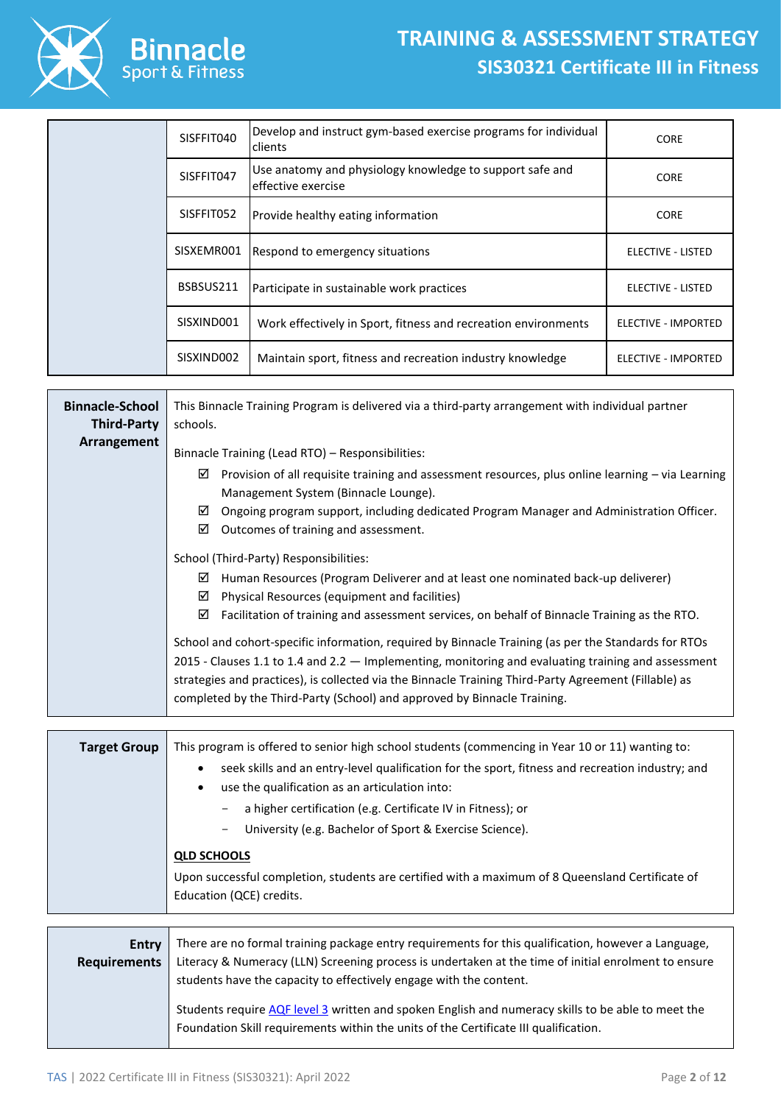## **TRAINING & ASSESSMENT STRATEGY SIS30321 Certificate III in Fitness**



|  | SISFFIT040 | Develop and instruct gym-based exercise programs for individual<br>clients     | <b>CORE</b>         |
|--|------------|--------------------------------------------------------------------------------|---------------------|
|  | SISFFIT047 | Use anatomy and physiology knowledge to support safe and<br>effective exercise | <b>CORE</b>         |
|  | SISFFIT052 | Provide healthy eating information                                             | <b>CORE</b>         |
|  | SISXEMR001 | Respond to emergency situations                                                | ELECTIVE - LISTED   |
|  | BSBSUS211  | Participate in sustainable work practices                                      | ELECTIVE - LISTED   |
|  | SISXIND001 | Work effectively in Sport, fitness and recreation environments                 | ELECTIVE - IMPORTED |
|  | SISXIND002 | Maintain sport, fitness and recreation industry knowledge                      | ELECTIVE - IMPORTED |

| <b>Binnacle-School</b><br><b>Third-Party</b> | This Binnacle Training Program is delivered via a third-party arrangement with individual partner<br>schools.                                                                                                                                                                                                                                                                                      |  |  |  |  |
|----------------------------------------------|----------------------------------------------------------------------------------------------------------------------------------------------------------------------------------------------------------------------------------------------------------------------------------------------------------------------------------------------------------------------------------------------------|--|--|--|--|
| Arrangement                                  | Binnacle Training (Lead RTO) - Responsibilities:<br>Provision of all requisite training and assessment resources, plus online learning - via Learning<br>☑<br>Management System (Binnacle Lounge).<br>☑<br>Ongoing program support, including dedicated Program Manager and Administration Officer.                                                                                                |  |  |  |  |
|                                              | ☑<br>Outcomes of training and assessment.<br>School (Third-Party) Responsibilities:<br>☑<br>Human Resources (Program Deliverer and at least one nominated back-up deliverer)<br>☑<br>Physical Resources (equipment and facilities)<br>☑<br>Facilitation of training and assessment services, on behalf of Binnacle Training as the RTO.                                                            |  |  |  |  |
|                                              | School and cohort-specific information, required by Binnacle Training (as per the Standards for RTOs<br>2015 - Clauses 1.1 to 1.4 and 2.2 $-$ Implementing, monitoring and evaluating training and assessment<br>strategies and practices), is collected via the Binnacle Training Third-Party Agreement (Fillable) as<br>completed by the Third-Party (School) and approved by Binnacle Training. |  |  |  |  |
| <b>Target Group</b>                          | This program is offered to senior high school students (commencing in Year 10 or 11) wanting to:<br>seek skills and an entry-level qualification for the sport, fitness and recreation industry; and<br>$\bullet$                                                                                                                                                                                  |  |  |  |  |

- use the qualification as an articulation into:
	- a higher certification (e.g. Certificate IV in Fitness); or
	- University (e.g. Bachelor of Sport & Exercise Science).

## **QLD SCHOOLS**

Upon successful completion, students are certified with a maximum of 8 Queensland Certificate of Education (QCE) credits.

| Entry<br><b>Requirements</b> | There are no formal training package entry requirements for this qualification, however a Language,<br>Literacy & Numeracy (LLN) Screening process is undertaken at the time of initial enrolment to ensure<br>students have the capacity to effectively engage with the content. |
|------------------------------|-----------------------------------------------------------------------------------------------------------------------------------------------------------------------------------------------------------------------------------------------------------------------------------|
|                              | Students require AQF level 3 written and spoken English and numeracy skills to be able to meet the<br>Foundation Skill requirements within the units of the Certificate III qualification.                                                                                        |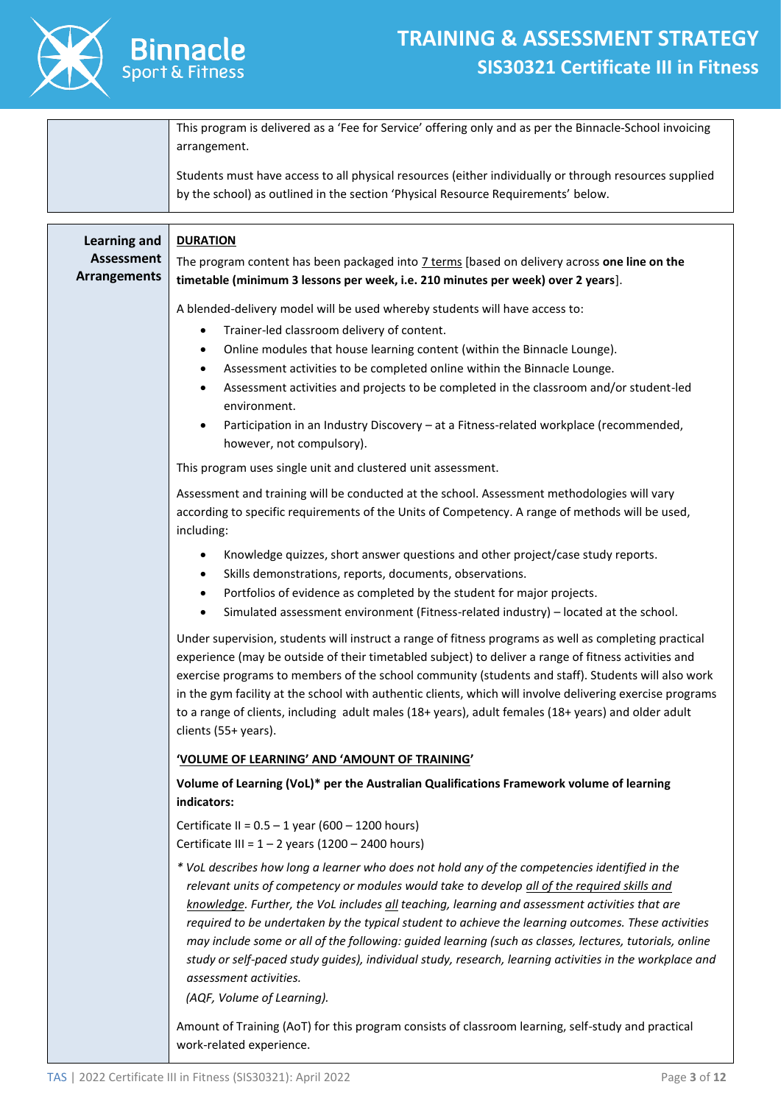

|                                                                 | This program is delivered as a 'Fee for Service' offering only and as per the Binnacle-School invoicing<br>arrangement.                                                                                                                                                                                                                                                                                                                                                                                                                                                                                                                                                               |  |  |
|-----------------------------------------------------------------|---------------------------------------------------------------------------------------------------------------------------------------------------------------------------------------------------------------------------------------------------------------------------------------------------------------------------------------------------------------------------------------------------------------------------------------------------------------------------------------------------------------------------------------------------------------------------------------------------------------------------------------------------------------------------------------|--|--|
|                                                                 | Students must have access to all physical resources (either individually or through resources supplied<br>by the school) as outlined in the section 'Physical Resource Requirements' below.                                                                                                                                                                                                                                                                                                                                                                                                                                                                                           |  |  |
| <b>Learning and</b><br><b>Assessment</b><br><b>Arrangements</b> | <b>DURATION</b><br>The program content has been packaged into 7 terms [based on delivery across one line on the<br>timetable (minimum 3 lessons per week, i.e. 210 minutes per week) over 2 years].                                                                                                                                                                                                                                                                                                                                                                                                                                                                                   |  |  |
|                                                                 | A blended-delivery model will be used whereby students will have access to:<br>Trainer-led classroom delivery of content.<br>$\bullet$<br>Online modules that house learning content (within the Binnacle Lounge).<br>٠<br>Assessment activities to be completed online within the Binnacle Lounge.<br>٠<br>Assessment activities and projects to be completed in the classroom and/or student-led<br>٠<br>environment.<br>Participation in an Industry Discovery - at a Fitness-related workplace (recommended,<br>$\bullet$<br>however, not compulsory).                                                                                                                            |  |  |
|                                                                 | This program uses single unit and clustered unit assessment.                                                                                                                                                                                                                                                                                                                                                                                                                                                                                                                                                                                                                          |  |  |
|                                                                 | Assessment and training will be conducted at the school. Assessment methodologies will vary<br>according to specific requirements of the Units of Competency. A range of methods will be used,<br>including:                                                                                                                                                                                                                                                                                                                                                                                                                                                                          |  |  |
|                                                                 | Knowledge quizzes, short answer questions and other project/case study reports.<br>$\bullet$<br>Skills demonstrations, reports, documents, observations.<br>$\bullet$<br>Portfolios of evidence as completed by the student for major projects.<br>٠<br>Simulated assessment environment (Fitness-related industry) - located at the school.<br>$\bullet$                                                                                                                                                                                                                                                                                                                             |  |  |
|                                                                 | Under supervision, students will instruct a range of fitness programs as well as completing practical<br>experience (may be outside of their timetabled subject) to deliver a range of fitness activities and<br>exercise programs to members of the school community (students and staff). Students will also work<br>in the gym facility at the school with authentic clients, which will involve delivering exercise programs<br>to a range of clients, including adult males (18+ years), adult females (18+ years) and older adult<br>clients (55+ years).                                                                                                                       |  |  |
|                                                                 | 'VOLUME OF LEARNING' AND 'AMOUNT OF TRAINING'                                                                                                                                                                                                                                                                                                                                                                                                                                                                                                                                                                                                                                         |  |  |
|                                                                 | Volume of Learning (VoL)* per the Australian Qualifications Framework volume of learning<br>indicators:                                                                                                                                                                                                                                                                                                                                                                                                                                                                                                                                                                               |  |  |
|                                                                 | Certificate II = $0.5 - 1$ year (600 - 1200 hours)<br>Certificate III = $1 - 2$ years (1200 - 2400 hours)                                                                                                                                                                                                                                                                                                                                                                                                                                                                                                                                                                             |  |  |
|                                                                 | * VoL describes how long a learner who does not hold any of the competencies identified in the<br>relevant units of competency or modules would take to develop all of the required skills and<br>knowledge. Further, the VoL includes all teaching, learning and assessment activities that are<br>required to be undertaken by the typical student to achieve the learning outcomes. These activities<br>may include some or all of the following: guided learning (such as classes, lectures, tutorials, online<br>study or self-paced study guides), individual study, research, learning activities in the workplace and<br>assessment activities.<br>(AQF, Volume of Learning). |  |  |
|                                                                 | Amount of Training (AoT) for this program consists of classroom learning, self-study and practical                                                                                                                                                                                                                                                                                                                                                                                                                                                                                                                                                                                    |  |  |

work-related experience.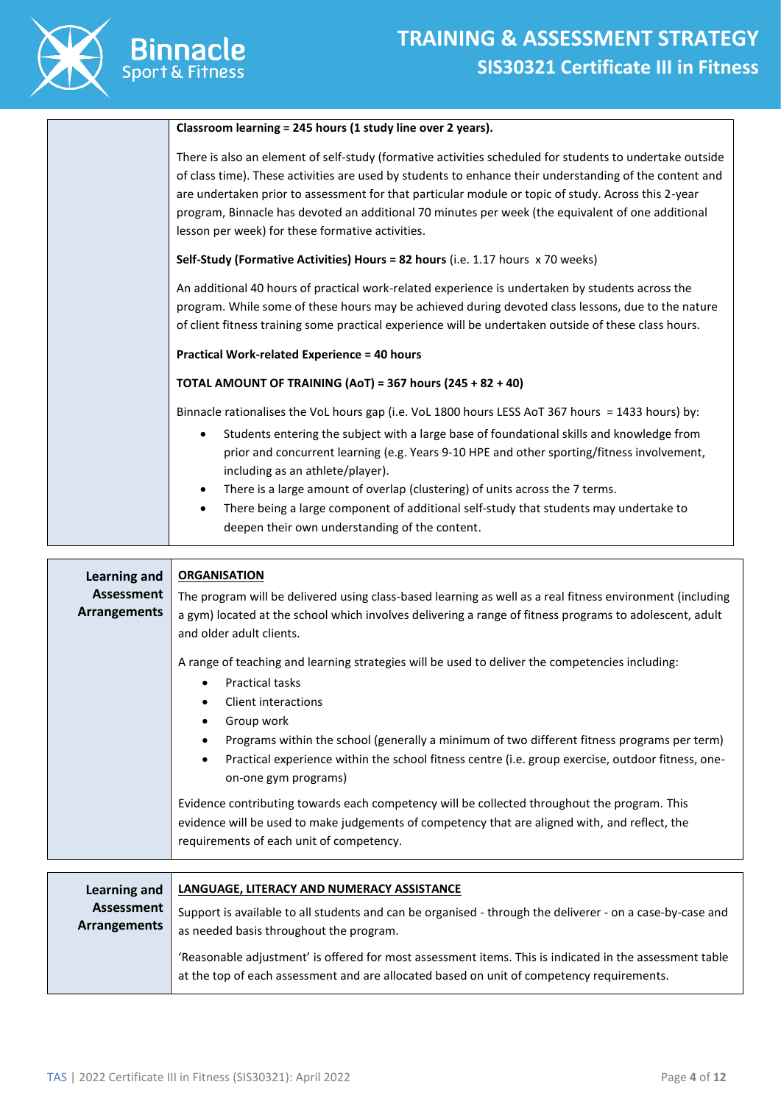

٦

| Classroom learning = 245 hours (1 study line over 2 years).                                                                                                                                                                                                                                                                                                                                                                                                                         |
|-------------------------------------------------------------------------------------------------------------------------------------------------------------------------------------------------------------------------------------------------------------------------------------------------------------------------------------------------------------------------------------------------------------------------------------------------------------------------------------|
| There is also an element of self-study (formative activities scheduled for students to undertake outside<br>of class time). These activities are used by students to enhance their understanding of the content and<br>are undertaken prior to assessment for that particular module or topic of study. Across this 2-year<br>program, Binnacle has devoted an additional 70 minutes per week (the equivalent of one additional<br>lesson per week) for these formative activities. |
| Self-Study (Formative Activities) Hours = 82 hours (i.e. 1.17 hours x 70 weeks)                                                                                                                                                                                                                                                                                                                                                                                                     |
| An additional 40 hours of practical work-related experience is undertaken by students across the<br>program. While some of these hours may be achieved during devoted class lessons, due to the nature<br>of client fitness training some practical experience will be undertaken outside of these class hours.                                                                                                                                                                     |
| <b>Practical Work-related Experience = 40 hours</b>                                                                                                                                                                                                                                                                                                                                                                                                                                 |
| TOTAL AMOUNT OF TRAINING (AoT) = 367 hours (245 + 82 + 40)                                                                                                                                                                                                                                                                                                                                                                                                                          |
| Binnacle rationalises the VoL hours gap (i.e. VoL 1800 hours LESS AoT 367 hours = 1433 hours) by:                                                                                                                                                                                                                                                                                                                                                                                   |
| Students entering the subject with a large base of foundational skills and knowledge from<br>prior and concurrent learning (e.g. Years 9-10 HPE and other sporting/fitness involvement,<br>including as an athlete/player).                                                                                                                                                                                                                                                         |
| There is a large amount of overlap (clustering) of units across the 7 terms.<br>$\bullet$                                                                                                                                                                                                                                                                                                                                                                                           |
| There being a large component of additional self-study that students may undertake to<br>$\bullet$<br>deepen their own understanding of the content.                                                                                                                                                                                                                                                                                                                                |
|                                                                                                                                                                                                                                                                                                                                                                                                                                                                                     |

| Learning and<br>Assessment<br>Arrangements | <b>ORGANISATION</b><br>The program will be delivered using class-based learning as well as a real fitness environment (including<br>a gym) located at the school which involves delivering a range of fitness programs to adolescent, adult<br>and older adult clients.                                                                                                                                                                |
|--------------------------------------------|----------------------------------------------------------------------------------------------------------------------------------------------------------------------------------------------------------------------------------------------------------------------------------------------------------------------------------------------------------------------------------------------------------------------------------------|
|                                            | A range of teaching and learning strategies will be used to deliver the competencies including:<br><b>Practical tasks</b><br>٠<br>Client interactions<br>Group work<br>$\bullet$<br>Programs within the school (generally a minimum of two different fitness programs per term)<br>$\bullet$<br>Practical experience within the school fitness centre (i.e. group exercise, outdoor fitness, one-<br>$\bullet$<br>on-one gym programs) |
|                                            | Evidence contributing towards each competency will be collected throughout the program. This<br>evidence will be used to make judgements of competency that are aligned with, and reflect, the<br>requirements of each unit of competency.                                                                                                                                                                                             |
| Learning and                               | LANGUAGE, LITERACY AND NUMERACY ASSISTANCE                                                                                                                                                                                                                                                                                                                                                                                             |

| Learning and               | LANGUAGE, LITERACY AND NUMERACY ASSISTANCE                                                                                                                                                           |  |  |  |
|----------------------------|------------------------------------------------------------------------------------------------------------------------------------------------------------------------------------------------------|--|--|--|
| Assessment<br>Arrangements | Support is available to all students and can be organised - through the deliverer - on a case-by-case and<br>as needed basis throughout the program.                                                 |  |  |  |
|                            | 'Reasonable adjustment' is offered for most assessment items. This is indicated in the assessment table<br>at the top of each assessment and are allocated based on unit of competency requirements. |  |  |  |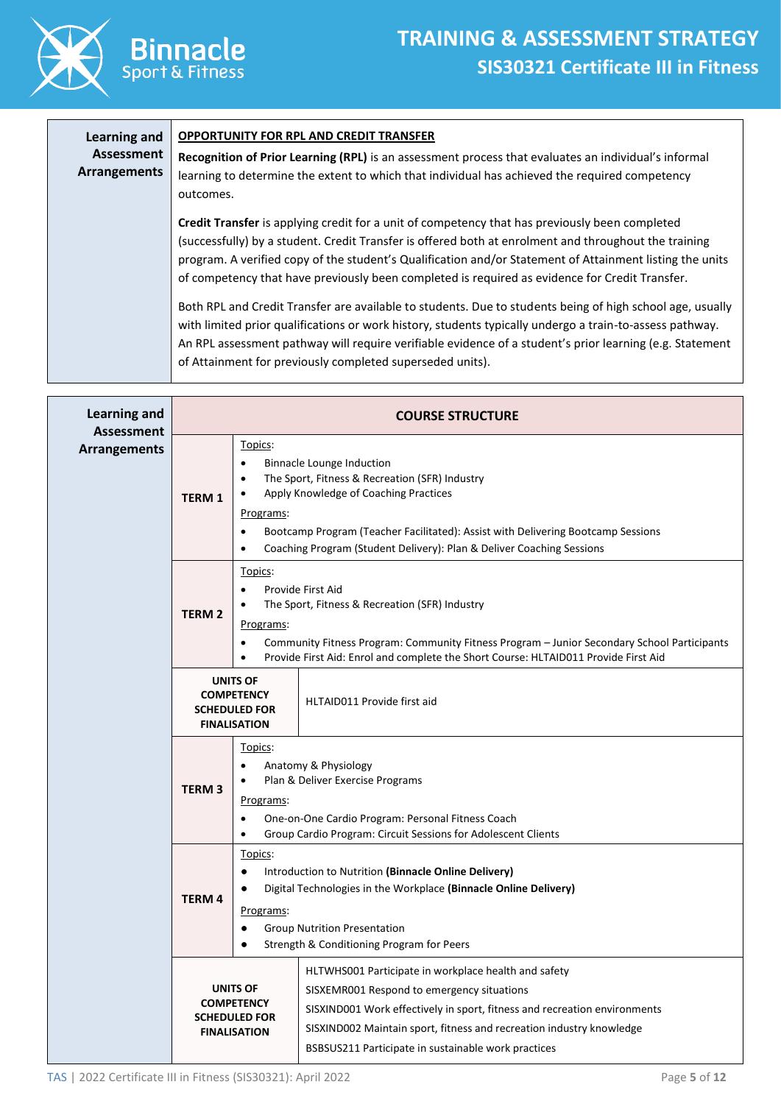

| <b>Learning and</b><br>Assessment<br><b>Arrangements</b> | <b>OPPORTUNITY FOR RPL AND CREDIT TRANSFER</b><br>Recognition of Prior Learning (RPL) is an assessment process that evaluates an individual's informal<br>learning to determine the extent to which that individual has achieved the required competency<br>outcomes.                                                                                                                                                 |
|----------------------------------------------------------|-----------------------------------------------------------------------------------------------------------------------------------------------------------------------------------------------------------------------------------------------------------------------------------------------------------------------------------------------------------------------------------------------------------------------|
|                                                          | Credit Transfer is applying credit for a unit of competency that has previously been completed<br>(successfully) by a student. Credit Transfer is offered both at enrolment and throughout the training<br>program. A verified copy of the student's Qualification and/or Statement of Attainment listing the units<br>of competency that have previously been completed is required as evidence for Credit Transfer. |
|                                                          | Both RPL and Credit Transfer are available to students. Due to students being of high school age, usually<br>with limited prior qualifications or work history, students typically undergo a train-to-assess pathway.<br>An RPL assessment pathway will require verifiable evidence of a student's prior learning (e.g. Statement<br>of Attainment for previously completed superseded units).                        |

| <b>Learning and</b><br><b>Assessment</b> | <b>COURSE STRUCTURE</b>                                                                   |                                                                                                                                                                                                                                                                                                                |  |
|------------------------------------------|-------------------------------------------------------------------------------------------|----------------------------------------------------------------------------------------------------------------------------------------------------------------------------------------------------------------------------------------------------------------------------------------------------------------|--|
| <b>Arrangements</b>                      | Topics:<br>$\bullet$<br>$\bullet$<br><b>TERM 1</b><br>Programs:<br>$\bullet$<br>$\bullet$ | <b>Binnacle Lounge Induction</b><br>The Sport, Fitness & Recreation (SFR) Industry<br>Apply Knowledge of Coaching Practices<br>Bootcamp Program (Teacher Facilitated): Assist with Delivering Bootcamp Sessions<br>Coaching Program (Student Delivery): Plan & Deliver Coaching Sessions                       |  |
|                                          | Topics:<br>$\bullet$<br><b>TERM 2</b><br>Programs:<br>$\bullet$<br>$\bullet$              | Provide First Aid<br>The Sport, Fitness & Recreation (SFR) Industry<br>Community Fitness Program: Community Fitness Program - Junior Secondary School Participants<br>Provide First Aid: Enrol and complete the Short Course: HLTAID011 Provide First Aid                                                      |  |
|                                          | <b>UNITS OF</b><br><b>COMPETENCY</b><br><b>SCHEDULED FOR</b><br><b>FINALISATION</b>       | HLTAID011 Provide first aid                                                                                                                                                                                                                                                                                    |  |
|                                          | Topics:<br>$\bullet$<br>$\bullet$<br><b>TERM3</b><br>Programs:<br>$\bullet$<br>$\bullet$  | Anatomy & Physiology<br>Plan & Deliver Exercise Programs<br>One-on-One Cardio Program: Personal Fitness Coach<br>Group Cardio Program: Circuit Sessions for Adolescent Clients                                                                                                                                 |  |
|                                          | Topics:<br>$\bullet$<br><b>TERM4</b><br>Programs:<br>$\bullet$                            | Introduction to Nutrition (Binnacle Online Delivery)<br>Digital Technologies in the Workplace (Binnacle Online Delivery)<br><b>Group Nutrition Presentation</b><br>Strength & Conditioning Program for Peers                                                                                                   |  |
|                                          | <b>UNITS OF</b><br><b>COMPETENCY</b><br><b>SCHEDULED FOR</b><br><b>FINALISATION</b>       | HLTWHS001 Participate in workplace health and safety<br>SISXEMR001 Respond to emergency situations<br>SISXIND001 Work effectively in sport, fitness and recreation environments<br>SISXIND002 Maintain sport, fitness and recreation industry knowledge<br>BSBSUS211 Participate in sustainable work practices |  |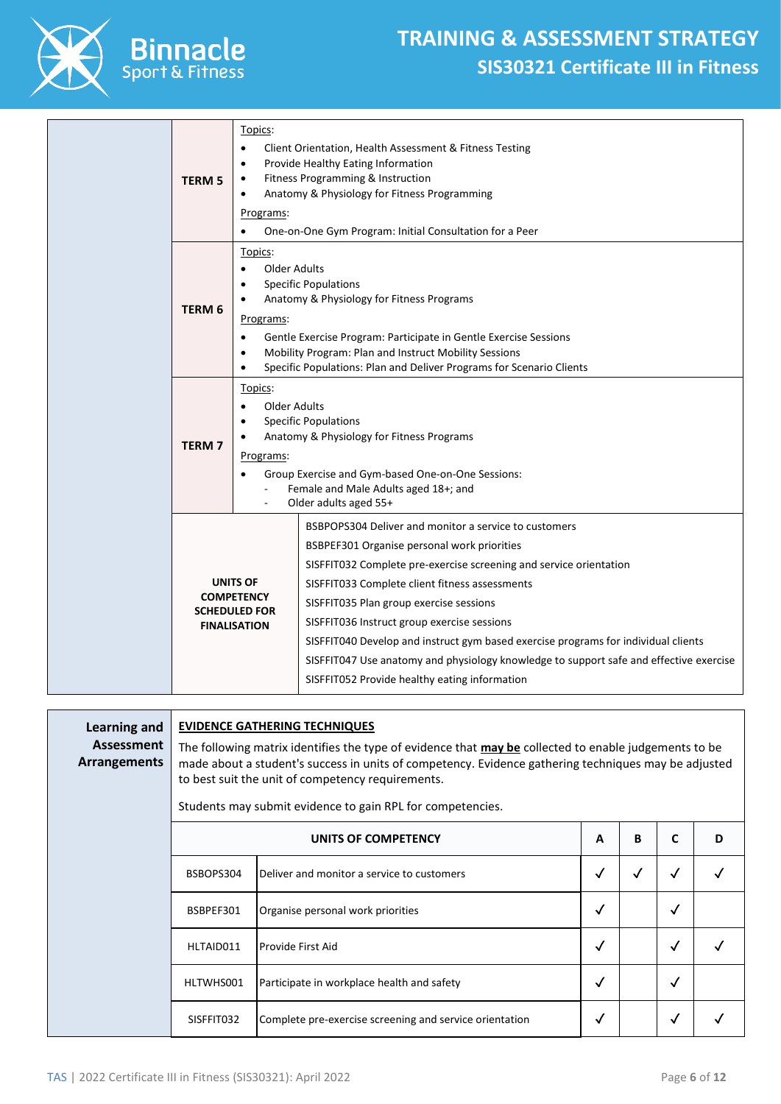

|                   | Topics:                                   |                                                                                        |  |  |  |  |
|-------------------|-------------------------------------------|----------------------------------------------------------------------------------------|--|--|--|--|
|                   | $\bullet$                                 | Client Orientation, Health Assessment & Fitness Testing                                |  |  |  |  |
|                   | $\bullet$                                 | Provide Healthy Eating Information                                                     |  |  |  |  |
| <b>TERM 5</b>     | Fitness Programming & Instruction<br>٠    |                                                                                        |  |  |  |  |
|                   | $\bullet$                                 | Anatomy & Physiology for Fitness Programming                                           |  |  |  |  |
|                   | Programs:                                 |                                                                                        |  |  |  |  |
|                   |                                           | One-on-One Gym Program: Initial Consultation for a Peer                                |  |  |  |  |
|                   | Topics:                                   |                                                                                        |  |  |  |  |
|                   | <b>Older Adults</b><br>$\bullet$          |                                                                                        |  |  |  |  |
|                   | $\bullet$                                 | <b>Specific Populations</b>                                                            |  |  |  |  |
| TERM <sub>6</sub> |                                           | Anatomy & Physiology for Fitness Programs                                              |  |  |  |  |
|                   | Programs:                                 |                                                                                        |  |  |  |  |
|                   | $\bullet$                                 | Gentle Exercise Program: Participate in Gentle Exercise Sessions                       |  |  |  |  |
|                   | $\bullet$                                 | Mobility Program: Plan and Instruct Mobility Sessions                                  |  |  |  |  |
|                   | $\bullet$                                 | Specific Populations: Plan and Deliver Programs for Scenario Clients                   |  |  |  |  |
|                   | Topics:                                   |                                                                                        |  |  |  |  |
|                   | <b>Older Adults</b>                       |                                                                                        |  |  |  |  |
|                   | <b>Specific Populations</b>               |                                                                                        |  |  |  |  |
| <b>TERM7</b>      | Anatomy & Physiology for Fitness Programs |                                                                                        |  |  |  |  |
|                   | <u>Programs:</u>                          |                                                                                        |  |  |  |  |
|                   |                                           | Group Exercise and Gym-based One-on-One Sessions:                                      |  |  |  |  |
|                   |                                           | Female and Male Adults aged 18+; and                                                   |  |  |  |  |
|                   |                                           | Older adults aged 55+                                                                  |  |  |  |  |
|                   |                                           | BSBPOPS304 Deliver and monitor a service to customers                                  |  |  |  |  |
|                   |                                           | BSBPEF301 Organise personal work priorities                                            |  |  |  |  |
|                   |                                           | SISFFIT032 Complete pre-exercise screening and service orientation                     |  |  |  |  |
|                   | <b>UNITS OF</b>                           | SISFFIT033 Complete client fitness assessments                                         |  |  |  |  |
|                   | <b>COMPETENCY</b><br><b>SCHEDULED FOR</b> | SISFFIT035 Plan group exercise sessions                                                |  |  |  |  |
|                   | <b>FINALISATION</b>                       | SISFFIT036 Instruct group exercise sessions                                            |  |  |  |  |
|                   |                                           | SISFFIT040 Develop and instruct gym based exercise programs for individual clients     |  |  |  |  |
|                   |                                           | SISFFIT047 Use anatomy and physiology knowledge to support safe and effective exercise |  |  |  |  |
|                   |                                           | SISFFIT052 Provide healthy eating information                                          |  |  |  |  |
|                   |                                           |                                                                                        |  |  |  |  |

| Learning and<br>Assessment<br><b>Arrangements</b> | <b>EVIDENCE GATHERING TECHNIQUES</b><br>The following matrix identifies the type of evidence that <b>may be</b> collected to enable judgements to be<br>made about a student's success in units of competency. Evidence gathering techniques may be adjusted<br>to best suit the unit of competency requirements.<br>Students may submit evidence to gain RPL for competencies. |                                                         |   |   |   |   |  |
|---------------------------------------------------|---------------------------------------------------------------------------------------------------------------------------------------------------------------------------------------------------------------------------------------------------------------------------------------------------------------------------------------------------------------------------------|---------------------------------------------------------|---|---|---|---|--|
|                                                   |                                                                                                                                                                                                                                                                                                                                                                                 | UNITS OF COMPETENCY                                     | A | B |   | D |  |
|                                                   | BSBOPS304                                                                                                                                                                                                                                                                                                                                                                       | Deliver and monitor a service to customers              | ✓ | √ | √ |   |  |
|                                                   | BSBPEF301                                                                                                                                                                                                                                                                                                                                                                       | Organise personal work priorities                       | √ |   | √ |   |  |
|                                                   | HLTAID011                                                                                                                                                                                                                                                                                                                                                                       | Provide First Aid                                       | √ |   | √ |   |  |
|                                                   | HLTWHS001                                                                                                                                                                                                                                                                                                                                                                       | Participate in workplace health and safety              | √ |   | √ |   |  |
|                                                   | SISFFIT032                                                                                                                                                                                                                                                                                                                                                                      | Complete pre-exercise screening and service orientation | √ |   | √ |   |  |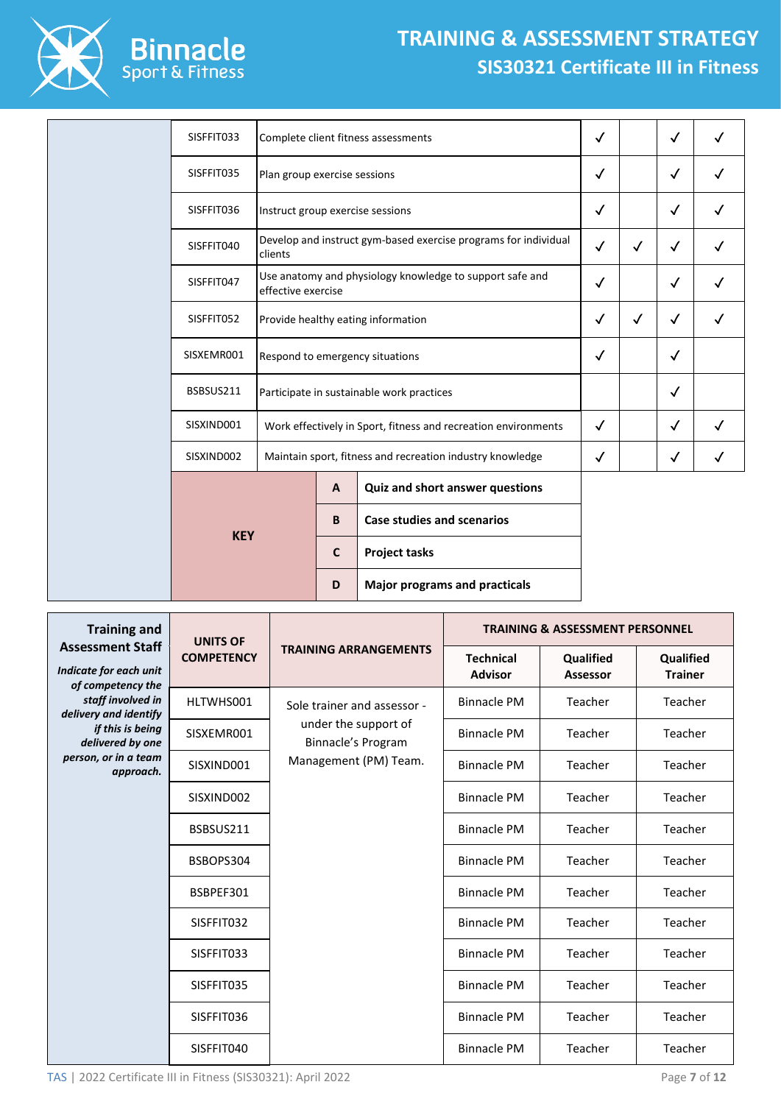

## **TRAINING & ASSESSMENT STRATEGY SIS30321 Certificate III in Fitness**

|  | SISFFIT033 |                                  |                                 | Complete client fitness assessments                             | $\checkmark$ |              | $\checkmark$ |   |
|--|------------|----------------------------------|---------------------------------|-----------------------------------------------------------------|--------------|--------------|--------------|---|
|  | SISFFIT035 | Plan group exercise sessions     |                                 |                                                                 | $\checkmark$ |              | $\checkmark$ |   |
|  | SISFFIT036 | Instruct group exercise sessions |                                 |                                                                 | $\checkmark$ |              | $\checkmark$ |   |
|  | SISFFIT040 | clients                          |                                 | Develop and instruct gym-based exercise programs for individual | $\checkmark$ | $\checkmark$ | $\checkmark$ |   |
|  | SISFFIT047 | effective exercise               |                                 | Use anatomy and physiology knowledge to support safe and        | $\checkmark$ |              | $\checkmark$ |   |
|  | SISFFIT052 |                                  |                                 | Provide healthy eating information                              | $\checkmark$ | √            | $\checkmark$ |   |
|  | SISXEMR001 |                                  | Respond to emergency situations |                                                                 | $\checkmark$ |              | $\checkmark$ |   |
|  | BSBSUS211  |                                  |                                 | Participate in sustainable work practices                       |              |              | $\checkmark$ |   |
|  | SISXIND001 |                                  |                                 | Work effectively in Sport, fitness and recreation environments  | $\checkmark$ |              | $\checkmark$ | ✓ |
|  | SISXIND002 |                                  |                                 | Maintain sport, fitness and recreation industry knowledge       | $\checkmark$ |              | $\checkmark$ | ✓ |
|  |            |                                  | A                               | Quiz and short answer questions                                 |              |              |              |   |
|  | <b>KEY</b> |                                  | B                               | <b>Case studies and scenarios</b>                               |              |              |              |   |
|  |            |                                  | $\mathbf{C}$                    | <b>Project tasks</b>                                            |              |              |              |   |
|  |            |                                  | D                               | <b>Major programs and practicals</b>                            |              |              |              |   |

| <b>Training and</b><br><b>Assessment Staff</b> | <b>UNITS OF</b>   |                                                                                                    | <b>TRAINING &amp; ASSESSMENT PERSONNEL</b> |                       |                             |  |  |
|------------------------------------------------|-------------------|----------------------------------------------------------------------------------------------------|--------------------------------------------|-----------------------|-----------------------------|--|--|
| Indicate for each unit<br>of competency the    | <b>COMPETENCY</b> | <b>TRAINING ARRANGEMENTS</b>                                                                       | <b>Technical</b><br><b>Advisor</b>         | Qualified<br>Assessor | Qualified<br><b>Trainer</b> |  |  |
| staff involved in<br>delivery and identify     | HLTWHS001         | Sole trainer and assessor -<br>under the support of<br>Binnacle's Program<br>Management (PM) Team. | <b>Binnacle PM</b>                         | Teacher               | Teacher                     |  |  |
| if this is being<br>delivered by one           | SISXEMR001        |                                                                                                    | <b>Binnacle PM</b>                         | Teacher               | Teacher                     |  |  |
| person, or in a team<br>approach.              | SISXIND001        |                                                                                                    | <b>Binnacle PM</b>                         | Teacher               | Teacher                     |  |  |
|                                                | SISXIND002        |                                                                                                    | <b>Binnacle PM</b>                         | Teacher               | Teacher                     |  |  |
|                                                | BSBSUS211         |                                                                                                    | <b>Binnacle PM</b>                         | Teacher               | Teacher                     |  |  |
|                                                | BSBOPS304         |                                                                                                    | <b>Binnacle PM</b>                         | Teacher               | Teacher                     |  |  |
|                                                | BSBPEF301         |                                                                                                    | <b>Binnacle PM</b>                         | Teacher               | Teacher                     |  |  |
|                                                | SISFFIT032        |                                                                                                    | <b>Binnacle PM</b>                         | Teacher               | Teacher                     |  |  |
|                                                | SISFFIT033        |                                                                                                    | <b>Binnacle PM</b>                         | Teacher               | Teacher                     |  |  |
|                                                | SISFFIT035        |                                                                                                    | <b>Binnacle PM</b>                         | Teacher               | Teacher                     |  |  |
|                                                | SISFFIT036        |                                                                                                    | <b>Binnacle PM</b>                         | Teacher               | Teacher                     |  |  |
|                                                | SISFFIT040        |                                                                                                    | <b>Binnacle PM</b>                         | Teacher               | Teacher                     |  |  |

TAS | 2022 Certificate III in Fitness (SIS30321): April 2022 Page **7** of **12**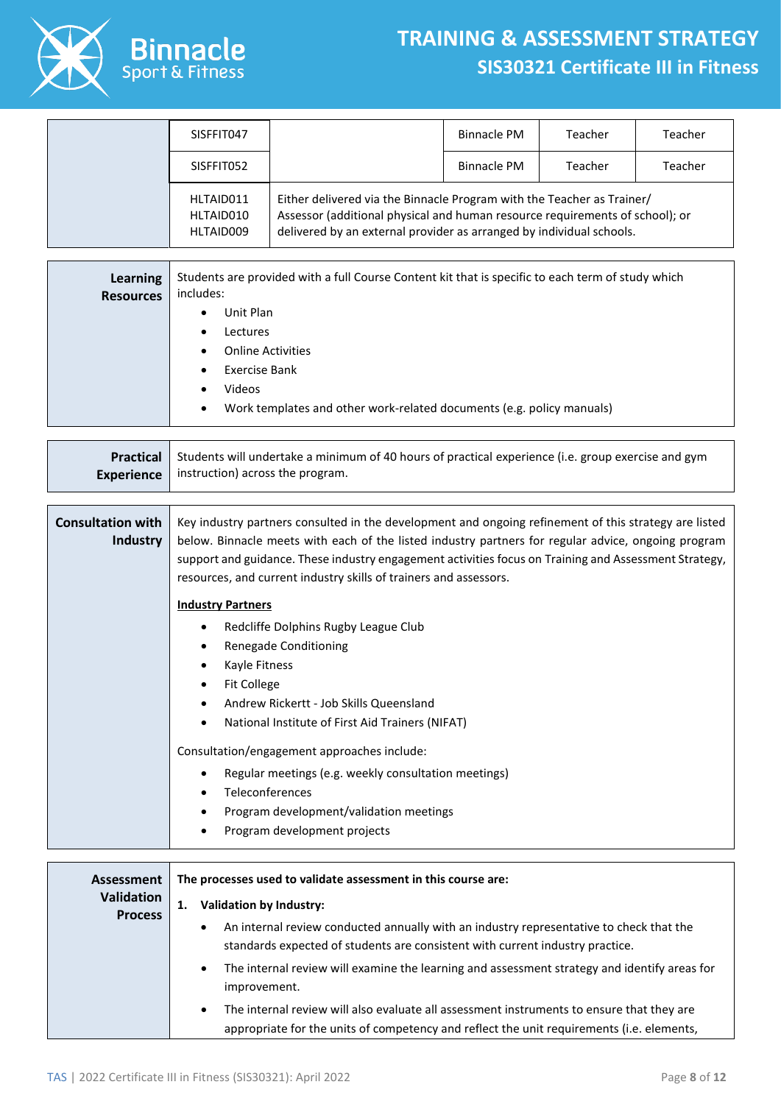

## **TRAINING & ASSESSMENT STRATEGY SIS30321 Certificate III in Fitness**

| SISFFIT047                          |                                                                                                                                                                                                                                | <b>Binnacle PM</b> | Teacher | Teacher |
|-------------------------------------|--------------------------------------------------------------------------------------------------------------------------------------------------------------------------------------------------------------------------------|--------------------|---------|---------|
| SISFFIT052                          |                                                                                                                                                                                                                                | Binnacle PM        | Teacher | Teacher |
| HLTAID011<br>HLTAID010<br>HLTAID009 | Either delivered via the Binnacle Program with the Teacher as Trainer/<br>Assessor (additional physical and human resource requirements of school); or<br>delivered by an external provider as arranged by individual schools. |                    |         |         |

| Learning<br><b>Resources</b> | Students are provided with a full Course Content kit that is specific to each term of study which<br>includes: |  |  |  |
|------------------------------|----------------------------------------------------------------------------------------------------------------|--|--|--|
|                              | Unit Plan<br>٠                                                                                                 |  |  |  |
|                              | Lectures                                                                                                       |  |  |  |
|                              | <b>Online Activities</b>                                                                                       |  |  |  |
|                              | Exercise Bank<br>٠                                                                                             |  |  |  |
|                              | <b>Videos</b>                                                                                                  |  |  |  |
|                              | Work templates and other work-related documents (e.g. policy manuals)<br>$\bullet$                             |  |  |  |

| <b>Practical</b> Students will undertake a minimum of 40 hours of practical experience (i.e. group exercise and gym |
|---------------------------------------------------------------------------------------------------------------------|
| <b>Experience</b>   instruction) across the program.                                                                |

| <b>Consultation with</b><br><b>Industry</b> | Key industry partners consulted in the development and ongoing refinement of this strategy are listed<br>below. Binnacle meets with each of the listed industry partners for regular advice, ongoing program<br>support and guidance. These industry engagement activities focus on Training and Assessment Strategy,<br>resources, and current industry skills of trainers and assessors. |
|---------------------------------------------|--------------------------------------------------------------------------------------------------------------------------------------------------------------------------------------------------------------------------------------------------------------------------------------------------------------------------------------------------------------------------------------------|
|                                             | <b>Industry Partners</b>                                                                                                                                                                                                                                                                                                                                                                   |
|                                             | Redcliffe Dolphins Rugby League Club                                                                                                                                                                                                                                                                                                                                                       |
|                                             | Renegade Conditioning                                                                                                                                                                                                                                                                                                                                                                      |
|                                             | Kayle Fitness                                                                                                                                                                                                                                                                                                                                                                              |
|                                             | <b>Fit College</b>                                                                                                                                                                                                                                                                                                                                                                         |
|                                             | Andrew Rickertt - Job Skills Queensland                                                                                                                                                                                                                                                                                                                                                    |
|                                             | National Institute of First Aid Trainers (NIFAT)                                                                                                                                                                                                                                                                                                                                           |
|                                             | Consultation/engagement approaches include:                                                                                                                                                                                                                                                                                                                                                |
|                                             | Regular meetings (e.g. weekly consultation meetings)                                                                                                                                                                                                                                                                                                                                       |
|                                             | Teleconferences                                                                                                                                                                                                                                                                                                                                                                            |
|                                             | Program development/validation meetings                                                                                                                                                                                                                                                                                                                                                    |
|                                             | Program development projects                                                                                                                                                                                                                                                                                                                                                               |

| Assessment                          | The processes used to validate assessment in this course are:                                                                                                                                              |  |  |  |
|-------------------------------------|------------------------------------------------------------------------------------------------------------------------------------------------------------------------------------------------------------|--|--|--|
| <b>Validation</b><br><b>Process</b> | <b>Validation by Industry:</b><br>1.<br>An internal review conducted annually with an industry representative to check that the<br>$\bullet$                                                               |  |  |  |
|                                     | standards expected of students are consistent with current industry practice.<br>The internal review will examine the learning and assessment strategy and identify areas for<br>$\bullet$<br>improvement. |  |  |  |
|                                     | The internal review will also evaluate all assessment instruments to ensure that they are<br>$\bullet$<br>appropriate for the units of competency and reflect the unit requirements (i.e. elements,        |  |  |  |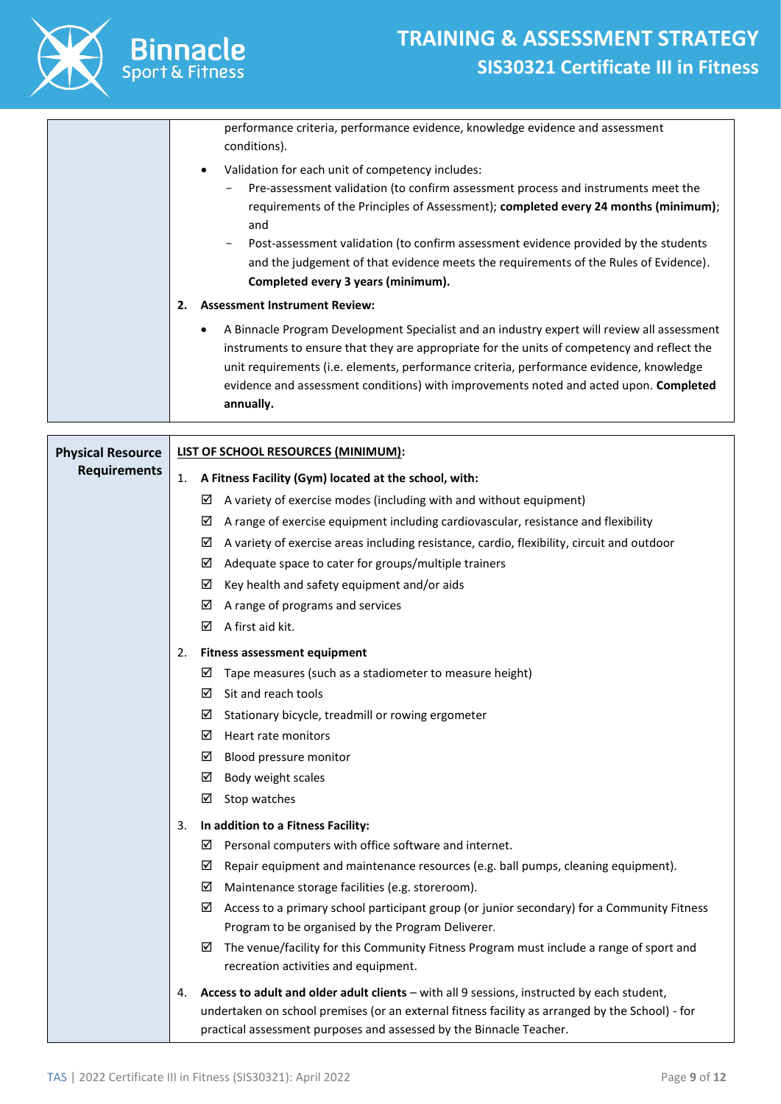

| performance criteria, performance evidence, knowledge evidence and assessment<br>conditions).                                                                                                                                                                                                                                                                                                                                                                                                          |
|--------------------------------------------------------------------------------------------------------------------------------------------------------------------------------------------------------------------------------------------------------------------------------------------------------------------------------------------------------------------------------------------------------------------------------------------------------------------------------------------------------|
| Validation for each unit of competency includes:<br>$\bullet$<br>Pre-assessment validation (to confirm assessment process and instruments meet the<br>$\overline{\phantom{m}}$<br>requirements of the Principles of Assessment); completed every 24 months (minimum);<br>and<br>Post-assessment validation (to confirm assessment evidence provided by the students<br>-<br>and the judgement of that evidence meets the requirements of the Rules of Evidence).<br>Completed every 3 years (minimum). |
| <b>Assessment Instrument Review:</b><br>2.                                                                                                                                                                                                                                                                                                                                                                                                                                                             |
| A Binnacle Program Development Specialist and an industry expert will review all assessment<br>$\bullet$<br>instruments to ensure that they are appropriate for the units of competency and reflect the<br>unit requirements (i.e. elements, performance criteria, performance evidence, knowledge<br>evidence and assessment conditions) with improvements noted and acted upon. Completed<br>annually.                                                                                               |

| <b>Physical Resource</b> | LIST OF SCHOOL RESOURCES (MINIMUM): |                                                                                                        |  |
|--------------------------|-------------------------------------|--------------------------------------------------------------------------------------------------------|--|
| <b>Requirements</b>      | 1.                                  | A Fitness Facility (Gym) located at the school, with:                                                  |  |
|                          |                                     | $\boxtimes$ A variety of exercise modes (including with and without equipment)                         |  |
|                          |                                     | $\boxtimes$ A range of exercise equipment including cardiovascular, resistance and flexibility         |  |
|                          |                                     | $\boxtimes$ A variety of exercise areas including resistance, cardio, flexibility, circuit and outdoor |  |
|                          |                                     | $\boxtimes$ Adequate space to cater for groups/multiple trainers                                       |  |
|                          |                                     | $\boxtimes$ Key health and safety equipment and/or aids                                                |  |
|                          |                                     | $\boxtimes$ A range of programs and services                                                           |  |
|                          |                                     | $\boxtimes$ A first aid kit.                                                                           |  |
|                          | 2.                                  | <b>Fitness assessment equipment</b>                                                                    |  |
|                          |                                     | $\boxtimes$ Tape measures (such as a stadiometer to measure height)                                    |  |
|                          |                                     | $\boxtimes$ Sit and reach tools                                                                        |  |
|                          |                                     | $\boxtimes$ Stationary bicycle, treadmill or rowing ergometer                                          |  |
|                          |                                     | $\boxtimes$ Heart rate monitors                                                                        |  |
|                          |                                     | $\boxtimes$ Blood pressure monitor                                                                     |  |
|                          |                                     | $\boxtimes$ Body weight scales                                                                         |  |
|                          |                                     | ☑<br>Stop watches                                                                                      |  |
|                          | 3.                                  | In addition to a Fitness Facility:                                                                     |  |
|                          |                                     | $\boxtimes$ Personal computers with office software and internet.                                      |  |
|                          |                                     | ☑<br>Repair equipment and maintenance resources (e.g. ball pumps, cleaning equipment).                 |  |
|                          |                                     | $\boxtimes$ Maintenance storage facilities (e.g. storeroom).                                           |  |
|                          |                                     | Access to a primary school participant group (or junior secondary) for a Community Fitness<br>☑        |  |
|                          |                                     | Program to be organised by the Program Deliverer.                                                      |  |
|                          |                                     | ☑<br>The venue/facility for this Community Fitness Program must include a range of sport and           |  |
|                          |                                     | recreation activities and equipment.                                                                   |  |
|                          | 4.                                  | Access to adult and older adult clients - with all 9 sessions, instructed by each student,             |  |
|                          |                                     | undertaken on school premises (or an external fitness facility as arranged by the School) - for        |  |
|                          |                                     | practical assessment purposes and assessed by the Binnacle Teacher.                                    |  |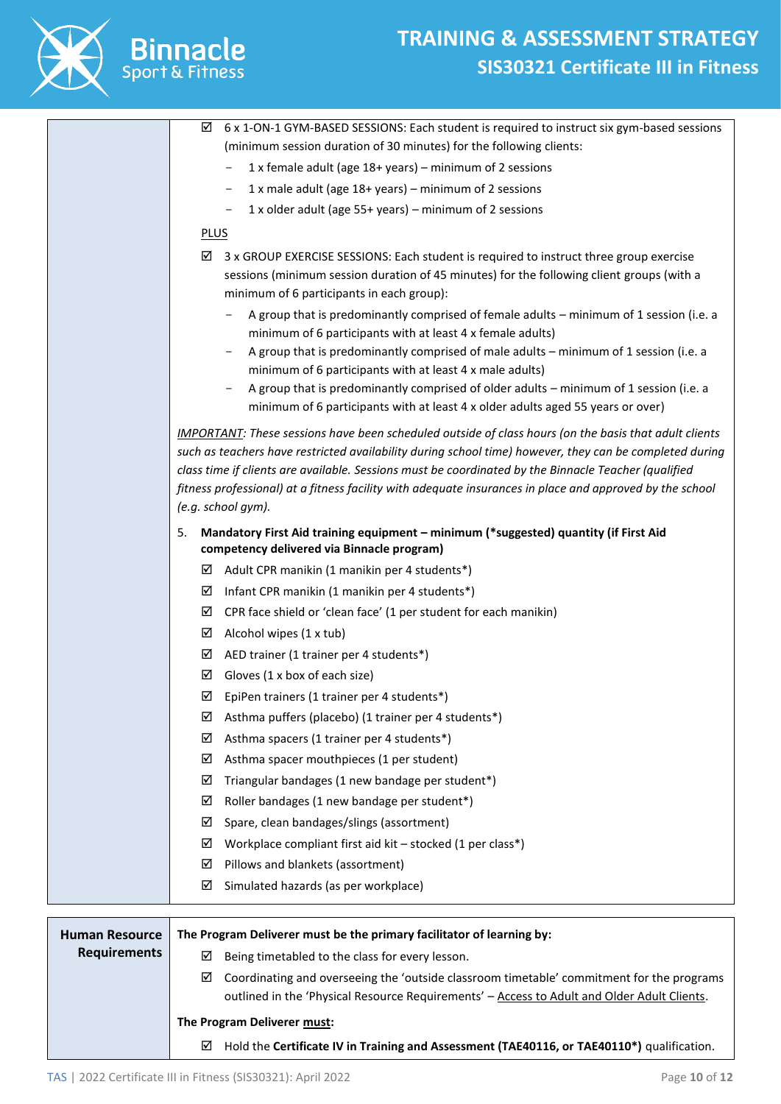

|                       | 6 x 1-ON-1 GYM-BASED SESSIONS: Each student is required to instruct six gym-based sessions<br>☑                                                                                                                 |
|-----------------------|-----------------------------------------------------------------------------------------------------------------------------------------------------------------------------------------------------------------|
|                       | (minimum session duration of 30 minutes) for the following clients:                                                                                                                                             |
|                       | 1 x female adult (age 18+ years) - minimum of 2 sessions                                                                                                                                                        |
|                       | 1 x male adult (age 18+ years) - minimum of 2 sessions<br>$\overline{\phantom{a}}$                                                                                                                              |
|                       | 1 x older adult (age 55+ years) – minimum of 2 sessions<br>-                                                                                                                                                    |
|                       | <b>PLUS</b>                                                                                                                                                                                                     |
|                       | 3 x GROUP EXERCISE SESSIONS: Each student is required to instruct three group exercise<br>☑                                                                                                                     |
|                       | sessions (minimum session duration of 45 minutes) for the following client groups (with a<br>minimum of 6 participants in each group):                                                                          |
|                       | A group that is predominantly comprised of female adults - minimum of 1 session (i.e. a<br>minimum of 6 participants with at least 4 x female adults)                                                           |
|                       | A group that is predominantly comprised of male adults - minimum of 1 session (i.e. a                                                                                                                           |
|                       | minimum of 6 participants with at least 4 x male adults)                                                                                                                                                        |
|                       | A group that is predominantly comprised of older adults - minimum of 1 session (i.e. a                                                                                                                          |
|                       | minimum of 6 participants with at least 4 x older adults aged 55 years or over)                                                                                                                                 |
|                       | <b>IMPORTANT:</b> These sessions have been scheduled outside of class hours (on the basis that adult clients                                                                                                    |
|                       | such as teachers have restricted availability during school time) however, they can be completed during<br>class time if clients are available. Sessions must be coordinated by the Binnacle Teacher (qualified |
|                       | fitness professional) at a fitness facility with adequate insurances in place and approved by the school                                                                                                        |
|                       | (e.g. school gym).                                                                                                                                                                                              |
|                       | 5.<br>Mandatory First Aid training equipment - minimum (*suggested) quantity (if First Aid                                                                                                                      |
|                       | competency delivered via Binnacle program)                                                                                                                                                                      |
|                       | Adult CPR manikin (1 manikin per 4 students*)<br>⊻                                                                                                                                                              |
|                       | Infant CPR manikin (1 manikin per 4 students*)<br>☑                                                                                                                                                             |
|                       | CPR face shield or 'clean face' (1 per student for each manikin)<br>☑                                                                                                                                           |
|                       | Alcohol wipes (1 x tub)<br>☑                                                                                                                                                                                    |
|                       | AED trainer (1 trainer per 4 students*)<br>☑                                                                                                                                                                    |
|                       | ☑<br>Gloves (1 x box of each size)                                                                                                                                                                              |
|                       | EpiPen trainers (1 trainer per 4 students*)<br>☑                                                                                                                                                                |
|                       | Asthma puffers (placebo) (1 trainer per 4 students*)<br>⊻                                                                                                                                                       |
|                       | Asthma spacers (1 trainer per 4 students*)<br>☑                                                                                                                                                                 |
|                       | Asthma spacer mouthpieces (1 per student)<br>☑                                                                                                                                                                  |
|                       | Triangular bandages (1 new bandage per student*)<br>☑                                                                                                                                                           |
|                       | Roller bandages (1 new bandage per student*)<br>☑                                                                                                                                                               |
|                       | Spare, clean bandages/slings (assortment)<br>☑                                                                                                                                                                  |
|                       | Workplace compliant first aid kit - stocked (1 per class*)<br>☑                                                                                                                                                 |
|                       | Pillows and blankets (assortment)<br>☑                                                                                                                                                                          |
|                       | Simulated hazards (as per workplace)<br>☑                                                                                                                                                                       |
|                       |                                                                                                                                                                                                                 |
| <b>Human Resource</b> | The Program Deliverer must be the primary facilitator of learning by:                                                                                                                                           |
| <b>Requirements</b>   | Being timetabled to the class for every lesson.<br>⊠                                                                                                                                                            |
|                       | Coordinating and overseeing the 'outside classroom timetable' commitment for the programs<br>☑                                                                                                                  |
|                       | outlined in the 'Physical Resource Requirements' - Access to Adult and Older Adult Clients.                                                                                                                     |
|                       | The Program Deliverer must:                                                                                                                                                                                     |
|                       | Hold the Certificate IV in Training and Assessment (TAE40116, or TAE40110*) qualification.<br>⊻                                                                                                                 |

TAS | 2022 Certificate III in Fitness (SIS30321): April 2022 Page **10** of **12**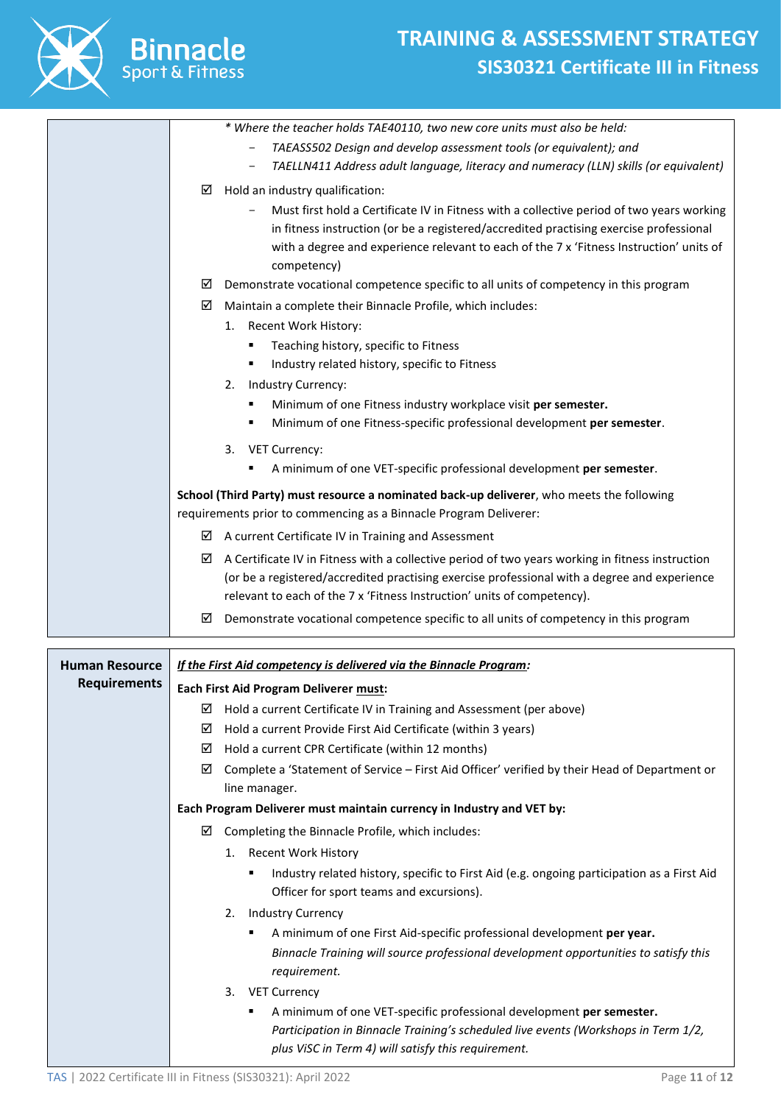

|                       | * Where the teacher holds TAE40110, two new core units must also be held:                             |
|-----------------------|-------------------------------------------------------------------------------------------------------|
|                       | TAEASS502 Design and develop assessment tools (or equivalent); and                                    |
|                       | TAELLN411 Address adult language, literacy and numeracy (LLN) skills (or equivalent)                  |
|                       | Hold an industry qualification:<br>⊻                                                                  |
|                       | Must first hold a Certificate IV in Fitness with a collective period of two years working             |
|                       | in fitness instruction (or be a registered/accredited practising exercise professional                |
|                       | with a degree and experience relevant to each of the 7 x 'Fitness Instruction' units of               |
|                       | competency)                                                                                           |
|                       | Demonstrate vocational competence specific to all units of competency in this program<br>⊻            |
|                       | Maintain a complete their Binnacle Profile, which includes:<br>☑                                      |
|                       | 1. Recent Work History:                                                                               |
|                       | Teaching history, specific to Fitness<br>٠                                                            |
|                       | Industry related history, specific to Fitness<br>٠                                                    |
|                       | Industry Currency:<br>2.                                                                              |
|                       | Minimum of one Fitness industry workplace visit per semester.<br>٠                                    |
|                       | Minimum of one Fitness-specific professional development per semester.<br>٠                           |
|                       |                                                                                                       |
|                       | <b>VET Currency:</b><br>3.                                                                            |
|                       | A minimum of one VET-specific professional development per semester.                                  |
|                       | School (Third Party) must resource a nominated back-up deliverer, who meets the following             |
|                       | requirements prior to commencing as a Binnacle Program Deliverer:                                     |
|                       | A current Certificate IV in Training and Assessment<br>⊻                                              |
|                       | A Certificate IV in Fitness with a collective period of two years working in fitness instruction<br>⊻ |
|                       | (or be a registered/accredited practising exercise professional with a degree and experience          |
|                       | relevant to each of the 7 x 'Fitness Instruction' units of competency).                               |
|                       | Demonstrate vocational competence specific to all units of competency in this program<br>⊻            |
| <b>Human Resource</b> | If the First Aid competency is delivered via the Binnacle Program:                                    |
|                       |                                                                                                       |
|                       |                                                                                                       |
| <b>Requirements</b>   | Each First Aid Program Deliverer must:                                                                |
|                       | Hold a current Certificate IV in Training and Assessment (per above)<br>⊻                             |
|                       | Hold a current Provide First Aid Certificate (within 3 years)<br>⊻                                    |
|                       | Hold a current CPR Certificate (within 12 months)<br>⊻                                                |
|                       | Complete a 'Statement of Service - First Aid Officer' verified by their Head of Department or<br>☑    |
|                       | line manager.                                                                                         |
|                       | Each Program Deliverer must maintain currency in Industry and VET by:                                 |
|                       | Completing the Binnacle Profile, which includes:<br>⊻                                                 |
|                       | 1. Recent Work History                                                                                |
|                       | Industry related history, specific to First Aid (e.g. ongoing participation as a First Aid<br>٠       |
|                       | Officer for sport teams and excursions).                                                              |
|                       | <b>Industry Currency</b><br>2.                                                                        |
|                       | A minimum of one First Aid-specific professional development per year.                                |
|                       | Binnacle Training will source professional development opportunities to satisfy this                  |
|                       | requirement.                                                                                          |
|                       | <b>VET Currency</b><br>3.                                                                             |
|                       | A minimum of one VET-specific professional development per semester.                                  |
|                       | Participation in Binnacle Training's scheduled live events (Workshops in Term 1/2,                    |
|                       | plus ViSC in Term 4) will satisfy this requirement.                                                   |